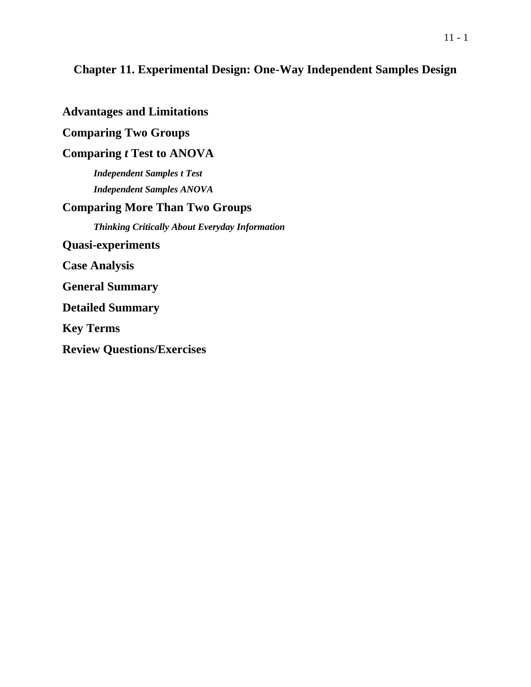# **Chapter 11. Experimental Design: One-Way Independent Samples Design**

**Advantages and Limitations Comparing Two Groups Comparing** *t* **Test to ANOVA** *Independent Samples t Test Independent Samples ANOVA* **Comparing More Than Two Groups** *Thinking Critically About Everyday Information* **Quasi-experiments Case Analysis General Summary Detailed Summary Key Terms Review Questions/Exercises**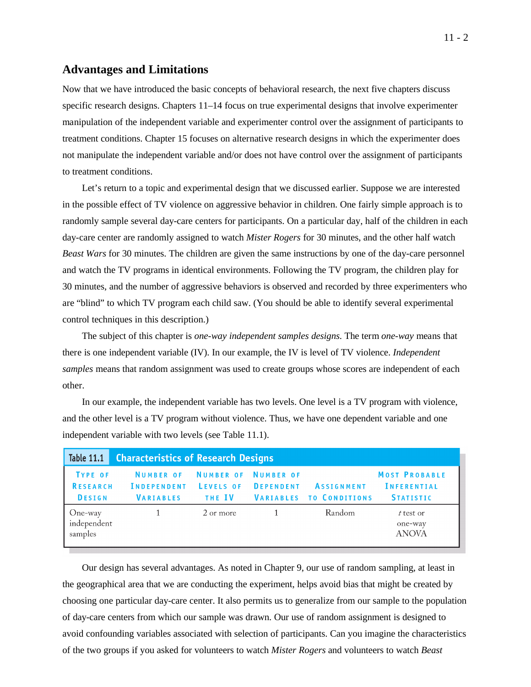### **Advantages and Limitations**

Now that we have introduced the basic concepts of behavioral research, the next five chapters discuss specific research designs. Chapters 11–14 focus on true experimental designs that involve experimenter manipulation of the independent variable and experimenter control over the assignment of participants to treatment conditions. Chapter 15 focuses on alternative research designs in which the experimenter does not manipulate the independent variable and/or does not have control over the assignment of participants to treatment conditions.

Let's return to a topic and experimental design that we discussed earlier. Suppose we are interested in the possible effect of TV violence on aggressive behavior in children. One fairly simple approach is to randomly sample several day-care centers for participants. On a particular day, half of the children in each day-care center are randomly assigned to watch *Mister Rogers* for 30 minutes, and the other half watch *Beast Wars* for 30 minutes. The children are given the same instructions by one of the day-care personnel and watch the TV programs in identical environments. Following the TV program, the children play for 30 minutes, and the number of aggressive behaviors is observed and recorded by three experimenters who are "blind" to which TV program each child saw. (You should be able to identify several experimental control techniques in this description.)

The subject of this chapter is *one-way independent samples designs.* The term *one-way* means that there is one independent variable (IV). In our example, the IV is level of TV violence. *Independent samples* means that random assignment was used to create groups whose scores are independent of each other.

In our example, the independent variable has two levels. One level is a TV program with violence, and the other level is a TV program without violence. Thus, we have one dependent variable and one independent variable with two levels (see Table 11.1).

|                                                    | Table 11.1 Characteristics of Research Designs                    |                                                   |                  |                                                     |                                                                |  |
|----------------------------------------------------|-------------------------------------------------------------------|---------------------------------------------------|------------------|-----------------------------------------------------|----------------------------------------------------------------|--|
| <b>TYPE OF</b><br><b>RESEARCH</b><br><b>DESIGN</b> | <b>NUMBER OF</b><br><b>INDEPENDENT</b><br><b><i>VARIABLES</i></b> | <b>NUMBER OF NUMBER OF</b><br>LEVELS OF<br>THE IV | <b>DEPENDENT</b> | <b>ASSIGNMENT</b><br><b>VARIABLES TO CONDITIONS</b> | <b>MOST PROBABLE</b><br><b>INFERENTIAL</b><br><b>STATISTIC</b> |  |
| One-way<br>independent<br>samples                  |                                                                   | 2 or more                                         |                  | Random                                              | t test or<br>one-way<br><b>ANOVA</b>                           |  |

Our design has several advantages. As noted in Chapter 9, our use of random sampling, at least in the geographical area that we are conducting the experiment, helps avoid bias that might be created by choosing one particular day-care center. It also permits us to generalize from our sample to the population of day-care centers from which our sample was drawn. Our use of random assignment is designed to avoid confounding variables associated with selection of participants. Can you imagine the characteristics of the two groups if you asked for volunteers to watch *Mister Rogers* and volunteers to watch *Beast*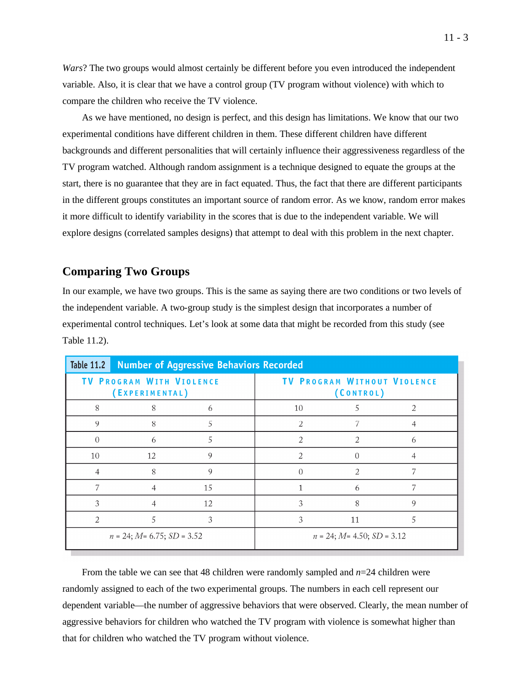*Wars*? The two groups would almost certainly be different before you even introduced the independent variable. Also, it is clear that we have a control group (TV program without violence) with which to compare the children who receive the TV violence.

As we have mentioned, no design is perfect, and this design has limitations. We know that our two experimental conditions have different children in them. These different children have different backgrounds and different personalities that will certainly influence their aggressiveness regardless of the TV program watched. Although random assignment is a technique designed to equate the groups at the start, there is no guarantee that they are in fact equated. Thus, the fact that there are different participants in the different groups constitutes an important source of random error. As we know, random error makes it more difficult to identify variability in the scores that is due to the independent variable. We will explore designs (correlated samples designs) that attempt to deal with this problem in the next chapter.

## **Comparing Two Groups**

In our example, we have two groups. This is the same as saying there are two conditions or two levels of the independent variable. A two-group study is the simplest design that incorporates a number of experimental control techniques. Let's look at some data that might be recorded from this study (see Table 11.2).

| <b>Table 11.2</b>                                 | <b>Number of Aggressive Behaviors Recorded</b> |    |                |                                                 |   |  |
|---------------------------------------------------|------------------------------------------------|----|----------------|-------------------------------------------------|---|--|
| <b>TV PROGRAM WITH VIOLENCE</b><br>(EXPERIMENTAL) |                                                |    |                | <b>TV PROGRAM WITHOUT VIOLENCE</b><br>(CONTROL) |   |  |
| 8                                                 | 8                                              | 6  | 10             |                                                 |   |  |
| 9                                                 | 8                                              | 5  | $\mathfrak{Z}$ |                                                 |   |  |
| $\Omega$                                          | 6                                              | 5  | $\mathfrak{D}$ | 2                                               | 6 |  |
| 10                                                | 12                                             | 9  | 2              |                                                 |   |  |
|                                                   | 8                                              | 9  | $\Omega$       | $\mathfrak{D}$                                  |   |  |
|                                                   | $\overline{4}$                                 | 15 |                | 6                                               |   |  |
| 3                                                 |                                                | 12 | 3              | 8                                               | 9 |  |
| $\mathfrak{D}$                                    | 5                                              | 3  | 3              | 11                                              | 5 |  |
| $n = 24$ ; $M = 6.75$ ; $SD = 3.52$               |                                                |    |                | $n = 24$ ; $M = 4.50$ ; $SD = 3.12$             |   |  |

From the table we can see that 48 children were randomly sampled and *n*=24 children were randomly assigned to each of the two experimental groups. The numbers in each cell represent our dependent variable—the number of aggressive behaviors that were observed. Clearly, the mean number of aggressive behaviors for children who watched the TV program with violence is somewhat higher than that for children who watched the TV program without violence.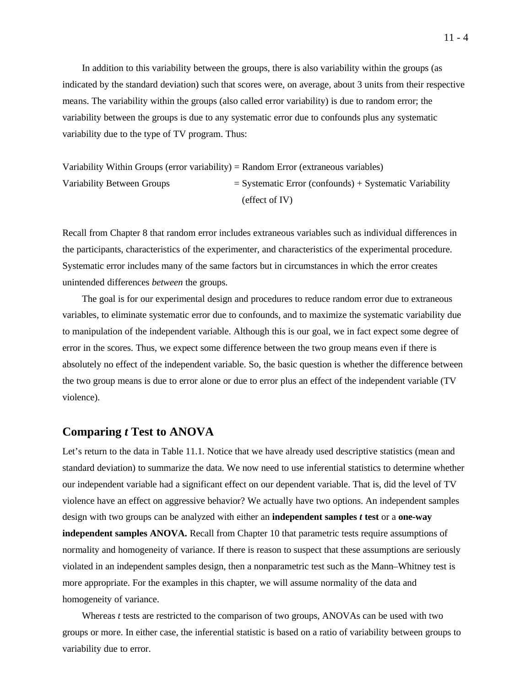In addition to this variability between the groups, there is also variability within the groups (as indicated by the standard deviation) such that scores were, on average, about 3 units from their respective means. The variability within the groups (also called error variability) is due to random error; the variability between the groups is due to any systematic error due to confounds plus any systematic variability due to the type of TV program. Thus:

Variability Within Groups (error variability) = Random Error (extraneous variables) Variability Between Groups = Systematic Error (confounds) + Systematic Variability (effect of IV)

Recall from Chapter 8 that random error includes extraneous variables such as individual differences in the participants, characteristics of the experimenter, and characteristics of the experimental procedure. Systematic error includes many of the same factors but in circumstances in which the error creates unintended differences *between* the groups.

The goal is for our experimental design and procedures to reduce random error due to extraneous variables, to eliminate systematic error due to confounds, and to maximize the systematic variability due to manipulation of the independent variable. Although this is our goal, we in fact expect some degree of error in the scores. Thus, we expect some difference between the two group means even if there is absolutely no effect of the independent variable. So, the basic question is whether the difference between the two group means is due to error alone or due to error plus an effect of the independent variable (TV violence).

### **Comparing** *t* **Test to ANOVA**

Let's return to the data in Table 11.1. Notice that we have already used descriptive statistics (mean and standard deviation) to summarize the data. We now need to use inferential statistics to determine whether our independent variable had a significant effect on our dependent variable. That is, did the level of TV violence have an effect on aggressive behavior? We actually have two options. An independent samples design with two groups can be analyzed with either an **independent samples** *t* **test** or a **one-way independent samples ANOVA.** Recall from Chapter 10 that parametric tests require assumptions of normality and homogeneity of variance. If there is reason to suspect that these assumptions are seriously violated in an independent samples design, then a nonparametric test such as the Mann–Whitney test is more appropriate. For the examples in this chapter, we will assume normality of the data and homogeneity of variance.

Whereas *t* tests are restricted to the comparison of two groups, ANOVAs can be used with two groups or more. In either case, the inferential statistic is based on a ratio of variability between groups to variability due to error.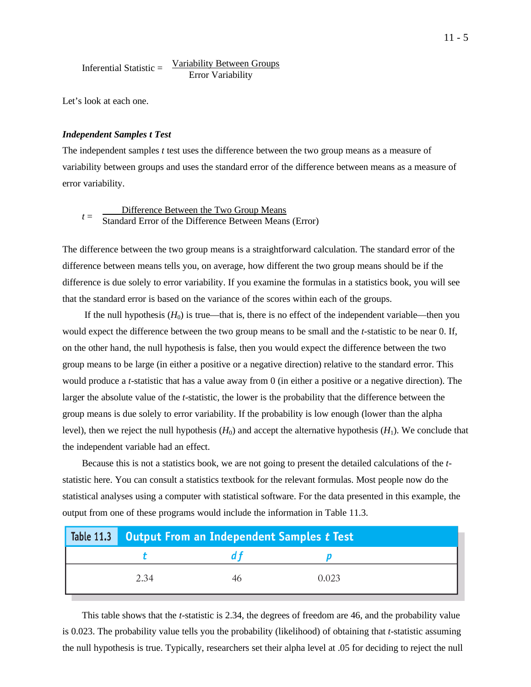Let's look at each one.

#### *Independent Samples t Test*

The independent samples *t* test uses the difference between the two group means as a measure of variability between groups and uses the standard error of the difference between means as a measure of error variability.

 $t =$ Difference Between the Two Group Means Standard Error of the Difference Between Means (Error)

The difference between the two group means is a straightforward calculation. The standard error of the difference between means tells you, on average, how different the two group means should be if the difference is due solely to error variability. If you examine the formulas in a statistics book, you will see that the standard error is based on the variance of the scores within each of the groups.

If the null hypothesis  $(H_0)$  is true—that is, there is no effect of the independent variable—then you would expect the difference between the two group means to be small and the *t*-statistic to be near 0. If, on the other hand, the null hypothesis is false, then you would expect the difference between the two group means to be large (in either a positive or a negative direction) relative to the standard error. This would produce a *t*-statistic that has a value away from 0 (in either a positive or a negative direction). The larger the absolute value of the *t*-statistic, the lower is the probability that the difference between the group means is due solely to error variability. If the probability is low enough (lower than the alpha level), then we reject the null hypothesis  $(H_0)$  and accept the alternative hypothesis  $(H_1)$ . We conclude that the independent variable had an effect.

Because this is not a statistics book, we are not going to present the detailed calculations of the *t*statistic here. You can consult a statistics textbook for the relevant formulas. Most people now do the statistical analyses using a computer with statistical software. For the data presented in this example, the output from one of these programs would include the information in Table 11.3.

| Table 11.3 Output From an Independent Samples t Test |    |       |  |  |  |
|------------------------------------------------------|----|-------|--|--|--|
|                                                      |    |       |  |  |  |
| 2.34                                                 | 46 | 0.023 |  |  |  |

This table shows that the *t*-statistic is 2.34, the degrees of freedom are 46, and the probability value is 0.023. The probability value tells you the probability (likelihood) of obtaining that *t*-statistic assuming the null hypothesis is true. Typically, researchers set their alpha level at .05 for deciding to reject the null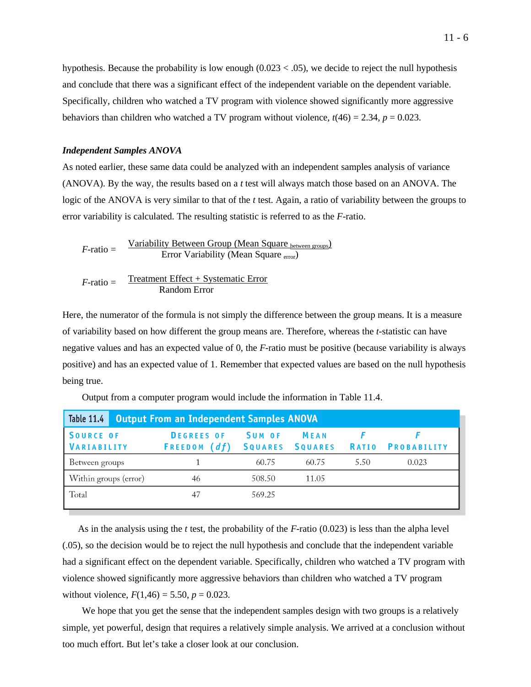hypothesis. Because the probability is low enough  $(0.023 < .05)$ , we decide to reject the null hypothesis and conclude that there was a significant effect of the independent variable on the dependent variable. Specifically, children who watched a TV program with violence showed significantly more aggressive behaviors than children who watched a TV program without violence,  $t(46) = 2.34$ ,  $p = 0.023$ .

#### *Independent Samples ANOVA*

As noted earlier, these same data could be analyzed with an independent samples analysis of variance (ANOVA). By the way, the results based on a *t* test will always match those based on an ANOVA. The logic of the ANOVA is very similar to that of the *t* test. Again, a ratio of variability between the groups to error variability is calculated. The resulting statistic is referred to as the *F*-ratio.

$$
F\text{-ratio} = \frac{\text{Variability Between Group (Mean Square}_{between groups)}}{\text{Error Variability (Mean Square}_{error})}
$$

$$
F\text{-ratio} = \frac{\text{Treatment Effect} + \text{Systematic Error}}{\text{Random Error}}
$$

Here, the numerator of the formula is not simply the difference between the group means. It is a measure of variability based on how different the group means are. Therefore, whereas the *t*-statistic can have negative values and has an expected value of 0, the *F*-ratio must be positive (because variability is always positive) and has an expected value of 1. Remember that expected values are based on the null hypothesis being true.

| Table 11.4                             |  | Output From an Independent Samples ANOVA |        |                         |              |             |  |
|----------------------------------------|--|------------------------------------------|--------|-------------------------|--------------|-------------|--|
| <b>SOURCE OF</b><br><b>VARIABILITY</b> |  | <b>DEGREES OF</b><br><b>FREEDOM (df)</b> | SUM OF | MEAN<br>SQUARES SQUARES | <b>RATIO</b> | PROBABILITY |  |
| Between groups                         |  |                                          | 60.75  | 60.75                   | 5.50         | 0.023       |  |
| Within groups (error)                  |  | 46                                       | 508.50 | 11.05                   |              |             |  |
| Total                                  |  | 47                                       | 569.25 |                         |              |             |  |

Output from a computer program would include the information in Table 11.4.

As in the analysis using the *t* test, the probability of the *F*-ratio (0.023) is less than the alpha level (.05), so the decision would be to reject the null hypothesis and conclude that the independent variable had a significant effect on the dependent variable. Specifically, children who watched a TV program with violence showed significantly more aggressive behaviors than children who watched a TV program without violence,  $F(1,46) = 5.50, p = 0.023$ .

We hope that you get the sense that the independent samples design with two groups is a relatively simple, yet powerful, design that requires a relatively simple analysis. We arrived at a conclusion without too much effort. But let's take a closer look at our conclusion.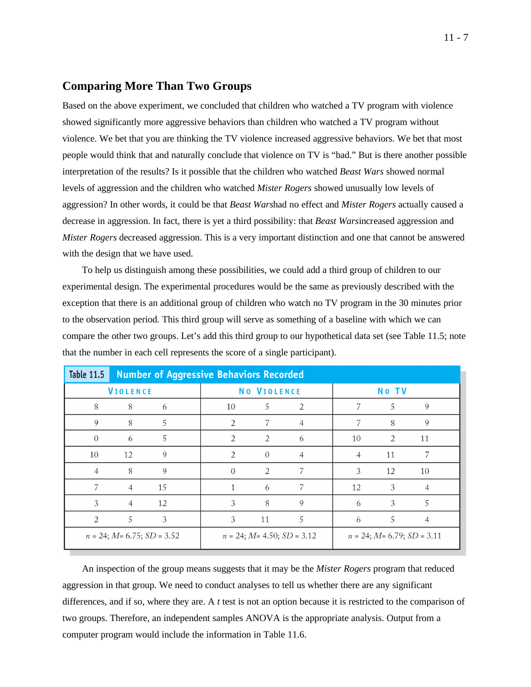### **Comparing More Than Two Groups**

Based on the above experiment, we concluded that children who watched a TV program with violence showed significantly more aggressive behaviors than children who watched a TV program without violence. We bet that you are thinking the TV violence increased aggressive behaviors. We bet that most people would think that and naturally conclude that violence on TV is "bad." But is there another possible interpretation of the results? Is it possible that the children who watched *Beast Wars* showed normal levels of aggression and the children who watched *Mister Rogers* showed unusually low levels of aggression? In other words, it could be that *Beast Wars*had no effect and *Mister Rogers* actually caused a decrease in aggression. In fact, there is yet a third possibility: that *Beast Wars*increased aggression and *Mister Rogers* decreased aggression. This is a very important distinction and one that cannot be answered with the design that we have used.

To help us distinguish among these possibilities, we could add a third group of children to our experimental design. The experimental procedures would be the same as previously described with the exception that there is an additional group of children who watch no TV program in the 30 minutes prior to the observation period. This third group will serve as something of a baseline with which we can compare the other two groups. Let's add this third group to our hypothetical data set (see Table 11.5; note that the number in each cell represents the score of a single participant).

| <b>Table 11.5</b> | <b>Number of Aggressive Behaviors Recorded</b> |    |          |                                     |                |                |       |                                     |  |
|-------------------|------------------------------------------------|----|----------|-------------------------------------|----------------|----------------|-------|-------------------------------------|--|
|                   | <b>VIOLENCE</b>                                |    |          | <b>NO VIOLENCE</b>                  |                |                | No TV |                                     |  |
| 8                 | 8                                              | 6  | 10       | 5                                   | 2              | $\overline{7}$ | 5     | 9                                   |  |
| 9                 | 8                                              | 5  | 2        | $\overline{7}$                      | 4              | $\overline{7}$ | 8     | 9                                   |  |
| $\Omega$          | 6                                              | 5  | 2        | 2                                   | 6              | 10             | 2     | 11                                  |  |
| 10                | 12                                             | 9  | 2        | $\theta$                            | $\overline{4}$ | 4              | 11    | 7                                   |  |
| 4                 | 8                                              | 9  | $\Omega$ | 2                                   | 7              | 3              | 12    | 10                                  |  |
| 7                 | $\overline{4}$                                 | 15 | 1        | 6                                   | 7              | 12             | 3     | $\overline{4}$                      |  |
| 3                 | $\overline{4}$                                 | 12 | 3        | 8                                   | 9              | 6              | 3     | 5                                   |  |
| $\overline{2}$    | 5                                              | 3  | 3        | 11                                  | 5              | 6              | 5     | 4                                   |  |
|                   | $n = 24$ ; $M = 6.75$ ; $SD = 3.52$            |    |          | $n = 24$ ; $M = 4.50$ ; $SD = 3.12$ |                |                |       | $n = 24$ ; $M = 6.79$ ; $SD = 3.11$ |  |

An inspection of the group means suggests that it may be the *Mister Rogers* program that reduced aggression in that group. We need to conduct analyses to tell us whether there are any significant differences, and if so, where they are. A *t* test is not an option because it is restricted to the comparison of two groups. Therefore, an independent samples ANOVA is the appropriate analysis. Output from a computer program would include the information in Table 11.6.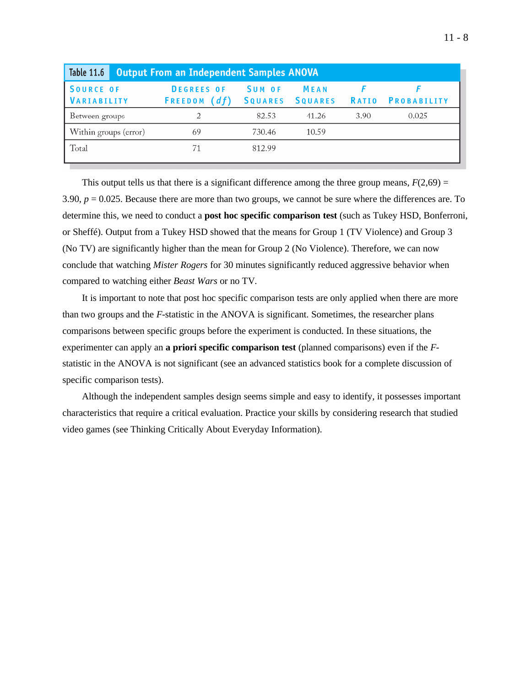| <b>Table 11.6</b>                      |  | Output From an Independent Samples ANOVA |        |                         |              |                    |  |
|----------------------------------------|--|------------------------------------------|--------|-------------------------|--------------|--------------------|--|
| <b>SOURCE OF</b><br><b>VARIABILITY</b> |  | <b>DEGREES OF</b><br><b>FREEDOM</b> (df) | SUM OF | MEAN<br>SQUARES SQUARES | <b>RATIO</b> | <b>PROBABILITY</b> |  |
| Between groups                         |  |                                          | 82.53  | 41.26                   | 3.90         | 0.025              |  |
| Within groups (error)                  |  | 69                                       | 730.46 | 10.59                   |              |                    |  |
| Total                                  |  | 71                                       | 812.99 |                         |              |                    |  |

This output tells us that there is a significant difference among the three group means,  $F(2,69) =$ 3.90,  $p = 0.025$ . Because there are more than two groups, we cannot be sure where the differences are. To determine this, we need to conduct a **post hoc specific comparison test** (such as Tukey HSD, Bonferroni, or Sheffé). Output from a Tukey HSD showed that the means for Group 1 (TV Violence) and Group 3 (No TV) are significantly higher than the mean for Group 2 (No Violence). Therefore, we can now conclude that watching *Mister Rogers* for 30 minutes significantly reduced aggressive behavior when compared to watching either *Beast Wars* or no TV.

It is important to note that post hoc specific comparison tests are only applied when there are more than two groups and the *F*-statistic in the ANOVA is significant. Sometimes, the researcher plans comparisons between specific groups before the experiment is conducted. In these situations, the experimenter can apply an **a priori specific comparison test** (planned comparisons) even if the *F*statistic in the ANOVA is not significant (see an advanced statistics book for a complete discussion of specific comparison tests).

Although the independent samples design seems simple and easy to identify, it possesses important characteristics that require a critical evaluation. Practice your skills by considering research that studied video games (see Thinking Critically About Everyday Information).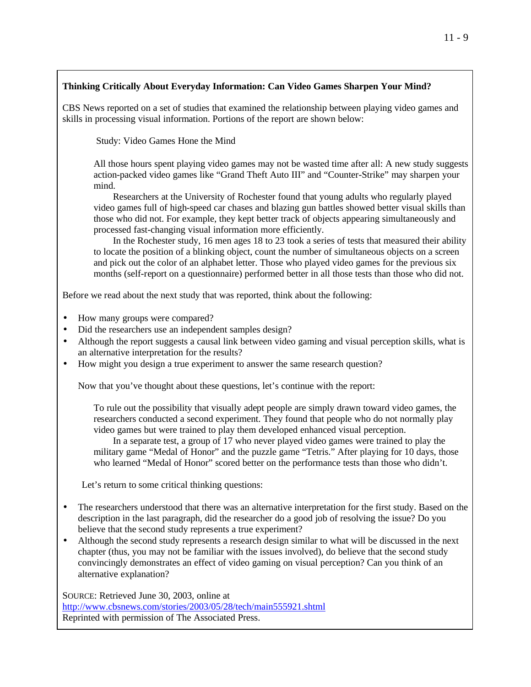## **Thinking Critically About Everyday Information: Can Video Games Sharpen Your Mind?**

CBS News reported on a set of studies that examined the relationship between playing video games and skills in processing visual information. Portions of the report are shown below:

Study: Video Games Hone the Mind

All those hours spent playing video games may not be wasted time after all: A new study suggests action-packed video games like "Grand Theft Auto III" and "Counter-Strike" may sharpen your mind.

Researchers at the University of Rochester found that young adults who regularly played video games full of high-speed car chases and blazing gun battles showed better visual skills than those who did not. For example, they kept better track of objects appearing simultaneously and processed fast-changing visual information more efficiently.

In the Rochester study, 16 men ages 18 to 23 took a series of tests that measured their ability to locate the position of a blinking object, count the number of simultaneous objects on a screen and pick out the color of an alphabet letter. Those who played video games for the previous six months (self-report on a questionnaire) performed better in all those tests than those who did not.

Before we read about the next study that was reported, think about the following:

- How many groups were compared?
- Did the researchers use an independent samples design?
- Although the report suggests a causal link between video gaming and visual perception skills, what is an alternative interpretation for the results?
- How might you design a true experiment to answer the same research question?

Now that you've thought about these questions, let's continue with the report:

To rule out the possibility that visually adept people are simply drawn toward video games, the researchers conducted a second experiment. They found that people who do not normally play video games but were trained to play them developed enhanced visual perception.

In a separate test, a group of 17 who never played video games were trained to play the military game "Medal of Honor" and the puzzle game "Tetris." After playing for 10 days, those who learned "Medal of Honor" scored better on the performance tests than those who didn't.

Let's return to some critical thinking questions:

- The researchers understood that there was an alternative interpretation for the first study. Based on the description in the last paragraph, did the researcher do a good job of resolving the issue? Do you believe that the second study represents a true experiment?
- Although the second study represents a research design similar to what will be discussed in the next chapter (thus, you may not be familiar with the issues involved), do believe that the second study convincingly demonstrates an effect of video gaming on visual perception? Can you think of an alternative explanation?

SOURCE: Retrieved June 30, 2003, online at http://www.cbsnews.com/stories/2003/05/28/tech/main555921.shtml Reprinted with permission of The Associated Press.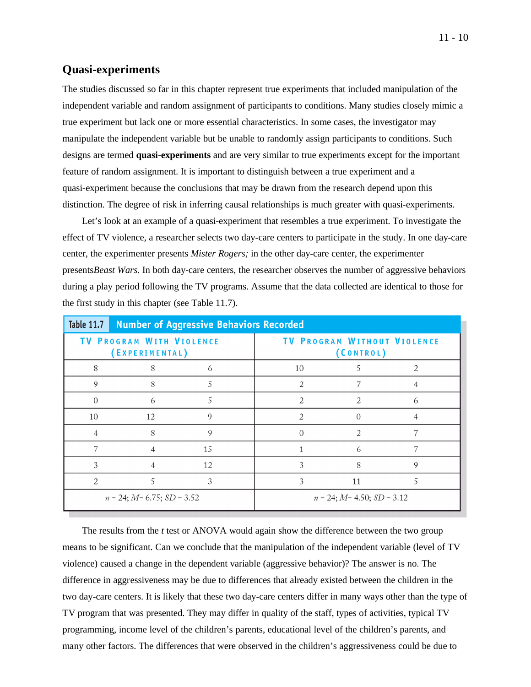## **Quasi-experiments**

The studies discussed so far in this chapter represent true experiments that included manipulation of the independent variable and random assignment of participants to conditions. Many studies closely mimic a true experiment but lack one or more essential characteristics. In some cases, the investigator may manipulate the independent variable but be unable to randomly assign participants to conditions. Such designs are termed **quasi-experiments** and are very similar to true experiments except for the important feature of random assignment. It is important to distinguish between a true experiment and a quasi-experiment because the conclusions that may be drawn from the research depend upon this distinction. The degree of risk in inferring causal relationships is much greater with quasi-experiments.

Let's look at an example of a quasi-experiment that resembles a true experiment. To investigate the effect of TV violence, a researcher selects two day-care centers to participate in the study. In one day-care center, the experimenter presents *Mister Rogers;* in the other day-care center, the experimenter presents*Beast Wars.* In both day-care centers, the researcher observes the number of aggressive behaviors during a play period following the TV programs. Assume that the data collected are identical to those for the first study in this chapter (see Table 11.7).

| Table 11.7                                 | <b>Number of Aggressive Behaviors Recorded</b> |    |    |                                                 |   |  |
|--------------------------------------------|------------------------------------------------|----|----|-------------------------------------------------|---|--|
| TV PROGRAM WITH VIOLENCE<br>(EXPERIMENTAL) |                                                |    |    | <b>TV PROGRAM WITHOUT VIOLENCE</b><br>(CONTROL) |   |  |
| 8                                          | $\mathsf{R}$                                   | 6  | 10 |                                                 |   |  |
| 9                                          | 8                                              | 5  | 2  |                                                 |   |  |
| $\Omega$                                   | 6                                              | 5  | 2  |                                                 | 6 |  |
| 10                                         | 12                                             | 9  | 2  |                                                 | 4 |  |
|                                            | 8                                              | 9  |    | $\mathfrak{D}$                                  | 7 |  |
|                                            | 4                                              | 15 |    | 6                                               | 7 |  |
|                                            |                                                | 12 | 3  | 8                                               | 9 |  |
|                                            |                                                | 3  | 3  | 11                                              |   |  |
|                                            | $n = 24$ ; $M = 6.75$ ; $SD = 3.52$            |    |    | $n = 24$ ; $M = 4.50$ ; $SD = 3.12$             |   |  |

The results from the *t* test or ANOVA would again show the difference between the two group means to be significant. Can we conclude that the manipulation of the independent variable (level of TV violence) caused a change in the dependent variable (aggressive behavior)? The answer is no. The difference in aggressiveness may be due to differences that already existed between the children in the two day-care centers. It is likely that these two day-care centers differ in many ways other than the type of TV program that was presented. They may differ in quality of the staff, types of activities, typical TV programming, income level of the children's parents, educational level of the children's parents, and many other factors. The differences that were observed in the children's aggressiveness could be due to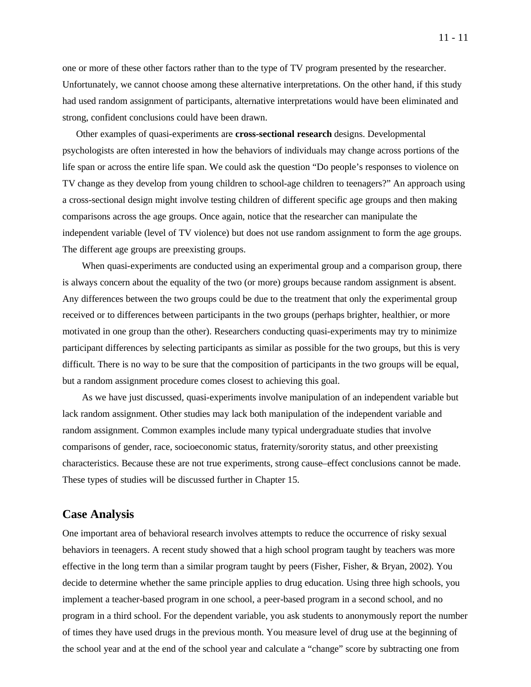one or more of these other factors rather than to the type of TV program presented by the researcher. Unfortunately, we cannot choose among these alternative interpretations. On the other hand, if this study had used random assignment of participants, alternative interpretations would have been eliminated and strong, confident conclusions could have been drawn.

Other examples of quasi-experiments are **cross-sectional research** designs. Developmental psychologists are often interested in how the behaviors of individuals may change across portions of the life span or across the entire life span. We could ask the question "Do people's responses to violence on TV change as they develop from young children to school-age children to teenagers?" An approach using a cross-sectional design might involve testing children of different specific age groups and then making comparisons across the age groups. Once again, notice that the researcher can manipulate the independent variable (level of TV violence) but does not use random assignment to form the age groups. The different age groups are preexisting groups.

When quasi-experiments are conducted using an experimental group and a comparison group, there is always concern about the equality of the two (or more) groups because random assignment is absent. Any differences between the two groups could be due to the treatment that only the experimental group received or to differences between participants in the two groups (perhaps brighter, healthier, or more motivated in one group than the other). Researchers conducting quasi-experiments may try to minimize participant differences by selecting participants as similar as possible for the two groups, but this is very difficult. There is no way to be sure that the composition of participants in the two groups will be equal, but a random assignment procedure comes closest to achieving this goal.

As we have just discussed, quasi-experiments involve manipulation of an independent variable but lack random assignment. Other studies may lack both manipulation of the independent variable and random assignment. Common examples include many typical undergraduate studies that involve comparisons of gender, race, socioeconomic status, fraternity/sorority status, and other preexisting characteristics. Because these are not true experiments, strong cause–effect conclusions cannot be made. These types of studies will be discussed further in Chapter 15.

#### **Case Analysis**

One important area of behavioral research involves attempts to reduce the occurrence of risky sexual behaviors in teenagers. A recent study showed that a high school program taught by teachers was more effective in the long term than a similar program taught by peers (Fisher, Fisher, & Bryan, 2002). You decide to determine whether the same principle applies to drug education. Using three high schools, you implement a teacher-based program in one school, a peer-based program in a second school, and no program in a third school. For the dependent variable, you ask students to anonymously report the number of times they have used drugs in the previous month. You measure level of drug use at the beginning of the school year and at the end of the school year and calculate a "change" score by subtracting one from

11 - 11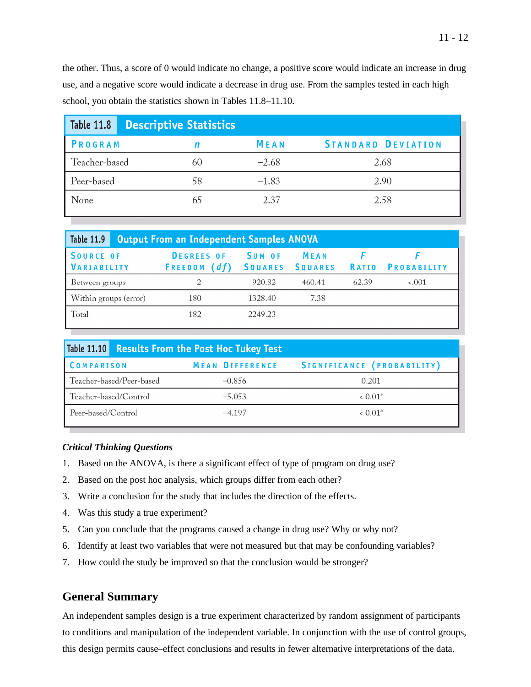the other. Thus, a score of 0 would indicate no change, a positive score would indicate an increase in drug use, and a negative score would indicate a decrease in drug use. From the samples tested in each high school, you obtain the statistics shown in Tables 11.8–11.10.

| <b>Table 11.8</b> | Descriptive Statistics |    |         |                           |
|-------------------|------------------------|----|---------|---------------------------|
| <b>PROGRAM</b>    |                        |    | MEAN    | <b>STANDARD DEVIATION</b> |
| Teacher-based     |                        | 60 | $-2.68$ | 2.68                      |
| Peer-based        |                        | 58 | $-1.83$ | 2.90                      |
| None              |                        | 65 | 2.37    | 2.58                      |

| Table 11.9                             | Output From an Independent Samples ANOVA |                                   |         |                         |              |                    |
|----------------------------------------|------------------------------------------|-----------------------------------|---------|-------------------------|--------------|--------------------|
| <b>SOURCE OF</b><br><b>VARIABILITY</b> |                                          | <b>DEGREES OF</b><br>FREEDOM (df) | SUM OF  | MEAN<br>SQUARES SQUARES | <b>RATIO</b> | <b>PROBABILITY</b> |
| Between groups                         |                                          |                                   | 920.82  | 460.41                  | 62.39        | $-.001$            |
| Within groups (error)                  |                                          | 180                               | 1328.40 | 7.38                    |              |                    |
| Total                                  |                                          | 182                               | 2249.23 |                         |              |                    |

|                       |                          | Table 11.10 Results From the Post Hoc Tukey Test |                        |                            |  |  |  |
|-----------------------|--------------------------|--------------------------------------------------|------------------------|----------------------------|--|--|--|
| <b>COMPARISON</b>     |                          |                                                  | <b>MEAN DIFFERENCE</b> | SIGNIFICANCE (PROBABILITY) |  |  |  |
|                       | Teacher-based/Peer-based |                                                  | $-0.856$               | 0.201                      |  |  |  |
| Teacher-based/Control |                          |                                                  | $-5.053$               | $\leq 0.01$ *              |  |  |  |
| Peer-based/Control    |                          |                                                  | $-4.197$               | $0.01*$                    |  |  |  |

#### *Critical Thinking Questions*

- 1. Based on the ANOVA, is there a significant effect of type of program on drug use?
- 2. Based on the post hoc analysis, which groups differ from each other?
- 3. Write a conclusion for the study that includes the direction of the effects.
- 4. Was this study a true experiment?
- 5. Can you conclude that the programs caused a change in drug use? Why or why not?
- 6. Identify at least two variables that were not measured but that may be confounding variables?
- 7. How could the study be improved so that the conclusion would be stronger?

### **General Summary**

An independent samples design is a true experiment characterized by random assignment of participants to conditions and manipulation of the independent variable. In conjunction with the use of control groups, this design permits cause–effect conclusions and results in fewer alternative interpretations of the data.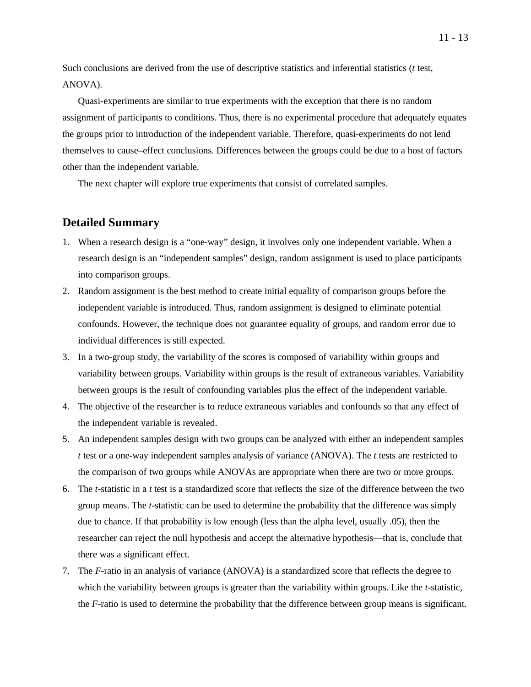Such conclusions are derived from the use of descriptive statistics and inferential statistics (*t* test, ANOVA).

Quasi-experiments are similar to true experiments with the exception that there is no random assignment of participants to conditions. Thus, there is no experimental procedure that adequately equates the groups prior to introduction of the independent variable. Therefore, quasi-experiments do not lend themselves to cause–effect conclusions. Differences between the groups could be due to a host of factors other than the independent variable.

The next chapter will explore true experiments that consist of correlated samples.

## **Detailed Summary**

- 1. When a research design is a "one-way" design, it involves only one independent variable. When a research design is an "independent samples" design, random assignment is used to place participants into comparison groups.
- 2. Random assignment is the best method to create initial equality of comparison groups before the independent variable is introduced. Thus, random assignment is designed to eliminate potential confounds. However, the technique does not guarantee equality of groups, and random error due to individual differences is still expected.
- 3. In a two-group study, the variability of the scores is composed of variability within groups and variability between groups. Variability within groups is the result of extraneous variables. Variability between groups is the result of confounding variables plus the effect of the independent variable.
- 4. The objective of the researcher is to reduce extraneous variables and confounds so that any effect of the independent variable is revealed.
- 5. An independent samples design with two groups can be analyzed with either an independent samples *t* test or a one-way independent samples analysis of variance (ANOVA). The *t* tests are restricted to the comparison of two groups while ANOVAs are appropriate when there are two or more groups.
- 6. The *t*-statistic in a *t* test is a standardized score that reflects the size of the difference between the two group means. The *t*-statistic can be used to determine the probability that the difference was simply due to chance. If that probability is low enough (less than the alpha level, usually .05), then the researcher can reject the null hypothesis and accept the alternative hypothesis—that is, conclude that there was a significant effect.
- 7. The *F*-ratio in an analysis of variance (ANOVA) is a standardized score that reflects the degree to which the variability between groups is greater than the variability within groups. Like the *t*-statistic, the *F*-ratio is used to determine the probability that the difference between group means is significant.